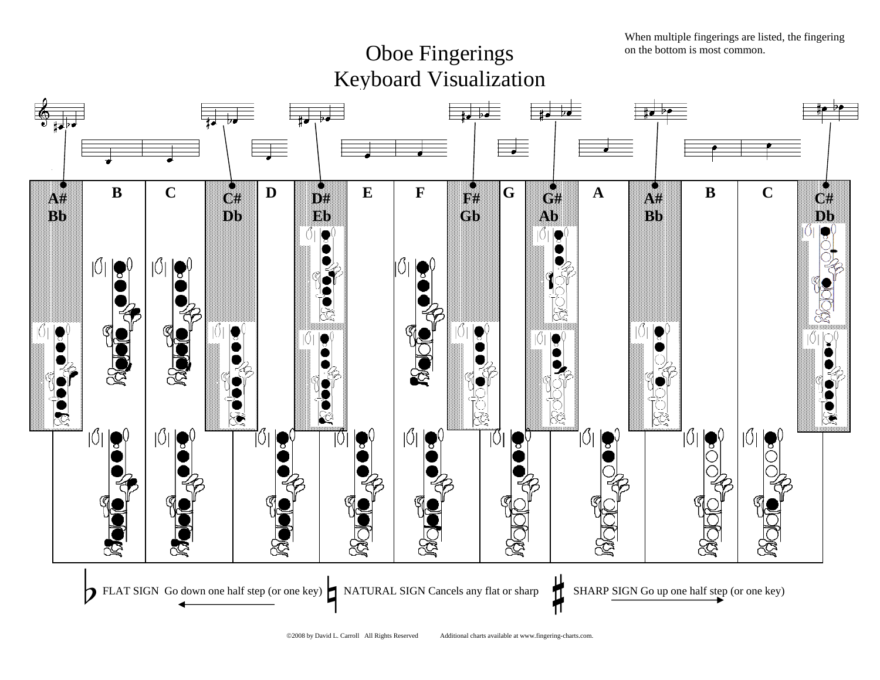When multiple fingerings are listed, the fingering on the bottom is most common.

## Oboe Fingerings Keyboard Visualization

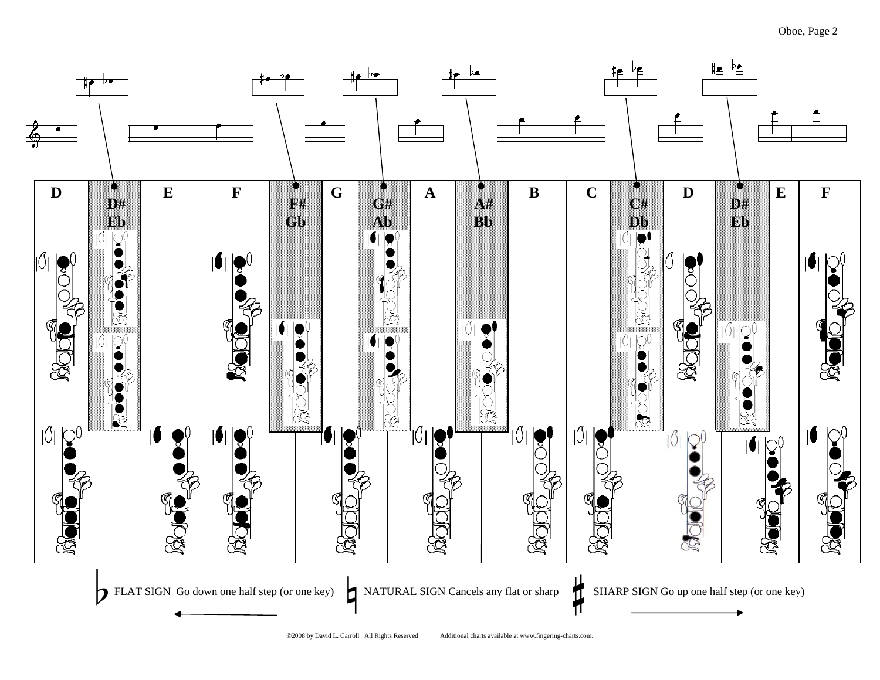